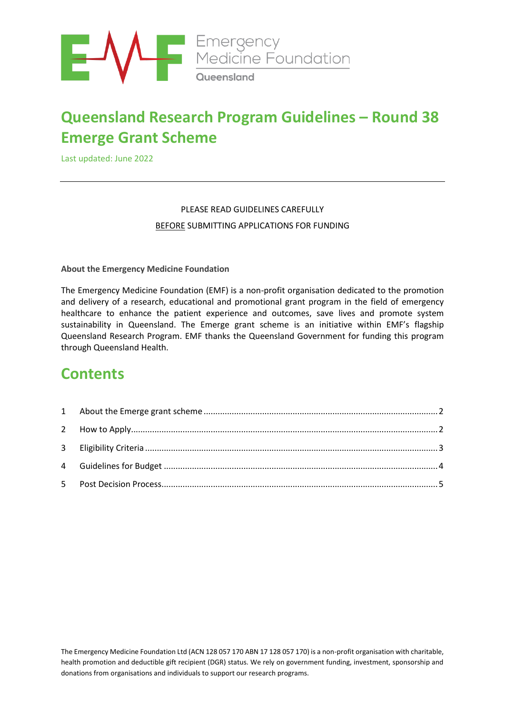

# **Queensland Research Program Guidelines – Round 38 Emerge Grant Scheme**

Last updated: June 2022

### PLEASE READ GUIDELINES CAREFULLY BEFORE SUBMITTING APPLICATIONS FOR FUNDING

**About the Emergency Medicine Foundation**

The Emergency Medicine Foundation (EMF) is a non-profit organisation dedicated to the promotion and delivery of a research, educational and promotional grant program in the field of emergency healthcare to enhance the patient experience and outcomes, save lives and promote system sustainability in Queensland. The Emerge grant scheme is an initiative within EMF's flagship Queensland Research Program. EMF thanks the Queensland Government for funding this program through Queensland Health.

## **Contents**

The Emergency Medicine Foundation Ltd (ACN 128 057 170 ABN 17 128 057 170) is a non-profit organisation with charitable, health promotion and deductible gift recipient (DGR) status. We rely on government funding, investment, sponsorship and donations from organisations and individuals to support our research programs.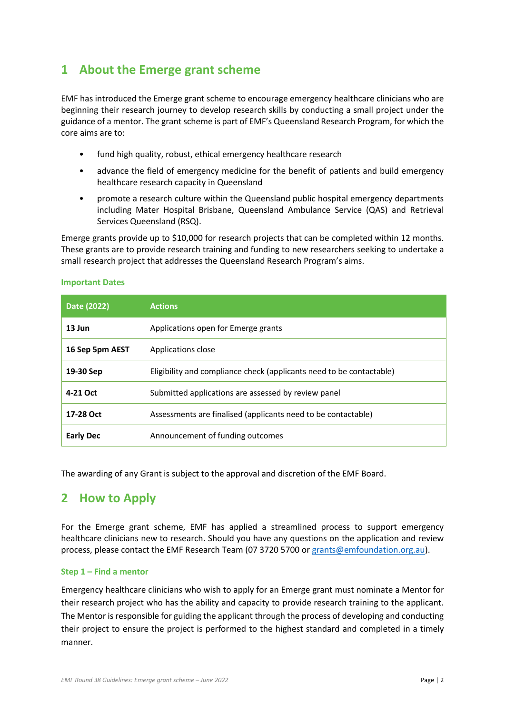### <span id="page-1-0"></span>**1 About the Emerge grant scheme**

EMF has introduced the Emerge grant scheme to encourage emergency healthcare clinicians who are beginning their research journey to develop research skills by conducting a small project under the guidance of a mentor. The grant scheme is part of EMF's Queensland Research Program, for which the core aims are to:

- fund high quality, robust, ethical emergency healthcare research
- advance the field of emergency medicine for the benefit of patients and build emergency healthcare research capacity in Queensland
- promote a research culture within the Queensland public hospital emergency departments including Mater Hospital Brisbane, Queensland Ambulance Service (QAS) and Retrieval Services Queensland (RSQ).

Emerge grants provide up to \$10,000 for research projects that can be completed within 12 months. These grants are to provide research training and funding to new researchers seeking to undertake a small research project that addresses the Queensland Research Program's aims.

| Date (2022)      | <b>Actions</b>                                                       |  |
|------------------|----------------------------------------------------------------------|--|
| $13$ Jun         | Applications open for Emerge grants                                  |  |
| 16 Sep 5pm AEST  | Applications close                                                   |  |
| 19-30 Sep        | Eligibility and compliance check (applicants need to be contactable) |  |
| 4-21 Oct         | Submitted applications are assessed by review panel                  |  |
| 17-28 Oct        | Assessments are finalised (applicants need to be contactable)        |  |
| <b>Early Dec</b> | Announcement of funding outcomes                                     |  |

#### **Important Dates**

The awarding of any Grant is subject to the approval and discretion of the EMF Board.

### <span id="page-1-1"></span>**2 How to Apply**

For the Emerge grant scheme, EMF has applied a streamlined process to support emergency healthcare clinicians new to research. Should you have any questions on the application and review process, please contact the EMF Research Team (07 3720 5700 o[r grants@emfoundation.org.au\)](mailto:grants@emfoundation.org.au).

### **Step 1 – Find a mentor**

Emergency healthcare clinicians who wish to apply for an Emerge grant must nominate a Mentor for their research project who has the ability and capacity to provide research training to the applicant. The Mentor is responsible for guiding the applicant through the process of developing and conducting their project to ensure the project is performed to the highest standard and completed in a timely manner.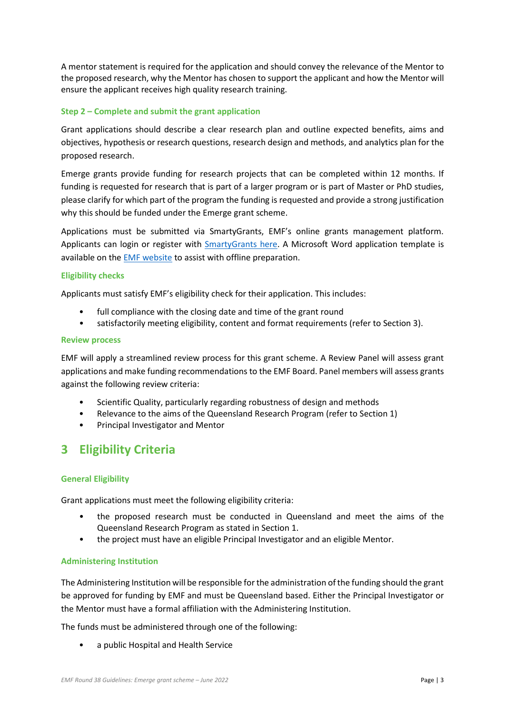A mentor statement is required for the application and should convey the relevance of the Mentor to the proposed research, why the Mentor has chosen to support the applicant and how the Mentor will ensure the applicant receives high quality research training.

### **Step 2 – Complete and submit the grant application**

Grant applications should describe a clear research plan and outline expected benefits, aims and objectives, hypothesis or research questions, research design and methods, and analytics plan for the proposed research.

Emerge grants provide funding for research projects that can be completed within 12 months. If funding is requested for research that is part of a larger program or is part of Master or PhD studies, please clarify for which part of the program the funding is requested and provide a strong justification why this should be funded under the Emerge grant scheme.

Applications must be submitted via SmartyGrants, EMF's online grants management platform. Applicants can login or register with [SmartyGrants here.](https://emfqld.smartygrants.com.au/) A Microsoft Word application template is available on th[e EMF website](https://emergencyfoundation.org.au/queensland-research-program/) to assist with offline preparation.

### **Eligibility checks**

Applicants must satisfy EMF's eligibility check for their application. This includes:

- full compliance with the closing date and time of the grant round
- satisfactorily meeting eligibility, content and format requirements (refer to Section [3\)](#page-2-0).

#### **Review process**

EMF will apply a streamlined review process for this grant scheme. A Review Panel will assess grant applications and make funding recommendations to the EMF Board. Panel members will assess grants against the following review criteria:

- Scientific Quality, particularly regarding robustness of design and methods
- Relevance to the aims of the Queensland Research Program (refer to Section 1)
- Principal Investigator and Mentor

### <span id="page-2-0"></span>**3 Eligibility Criteria**

### **General Eligibility**

Grant applications must meet the following eligibility criteria:

- the proposed research must be conducted in Queensland and meet the aims of the Queensland Research Program as stated in Sectio[n 1.](#page-1-0)
- the project must have an eligible Principal Investigator and an eligible Mentor.

### **Administering Institution**

The Administering Institution will be responsible for the administration of the funding should the grant be approved for funding by EMF and must be Queensland based. Either the Principal Investigator or the Mentor must have a formal affiliation with the Administering Institution.

The funds must be administered through one of the following:

• a public Hospital and Health Service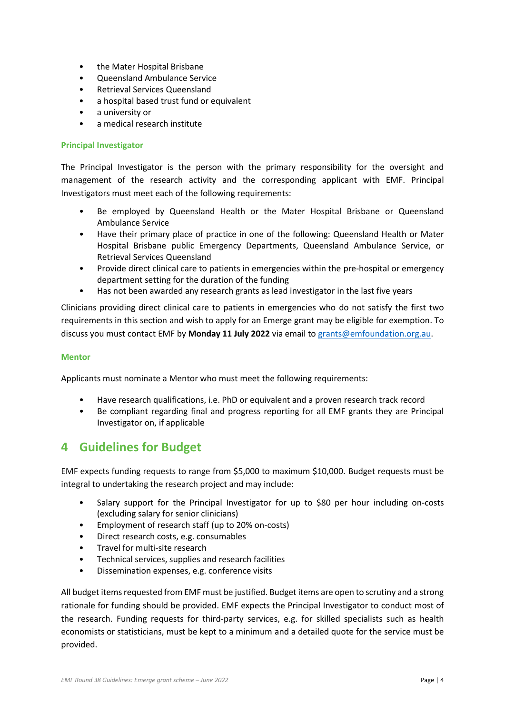- the Mater Hospital Brisbane
- Queensland Ambulance Service
- Retrieval Services Queensland
- a hospital based trust fund or equivalent
- a university or
- a medical research institute

### **Principal Investigator**

The Principal Investigator is the person with the primary responsibility for the oversight and management of the research activity and the corresponding applicant with EMF. Principal Investigators must meet each of the following requirements:

- Be employed by Queensland Health or the Mater Hospital Brisbane or Queensland Ambulance Service
- Have their primary place of practice in one of the following: Queensland Health or Mater Hospital Brisbane public Emergency Departments, Queensland Ambulance Service, or Retrieval Services Queensland
- Provide direct clinical care to patients in emergencies within the pre-hospital or emergency department setting for the duration of the funding
- Has not been awarded any research grants as lead investigator in the last five years

Clinicians providing direct clinical care to patients in emergencies who do not satisfy the first two requirements in this section and wish to apply for an Emerge grant may be eligible for exemption. To discuss you must contact EMF by **Monday 11 July 2022** via email to [grants@emfoundation.org.au.](mailto:grants@emfoundation.org.au)

### **Mentor**

Applicants must nominate a Mentor who must meet the following requirements:

- Have research qualifications, i.e. PhD or equivalent and a proven research track record
- Be compliant regarding final and progress reporting for all EMF grants they are Principal Investigator on, if applicable

### <span id="page-3-0"></span>**4 Guidelines for Budget**

EMF expects funding requests to range from \$5,000 to maximum \$10,000. Budget requests must be integral to undertaking the research project and may include:

- Salary support for the Principal Investigator for up to \$80 per hour including on-costs (excluding salary for senior clinicians)
- Employment of research staff (up to 20% on-costs)
- Direct research costs, e.g. consumables
- Travel for multi-site research
- Technical services, supplies and research facilities
- Dissemination expenses, e.g. conference visits

All budget items requested from EMF must be justified. Budget items are open to scrutiny and a strong rationale for funding should be provided. EMF expects the Principal Investigator to conduct most of the research. Funding requests for third-party services, e.g. for skilled specialists such as health economists or statisticians, must be kept to a minimum and a detailed quote for the service must be provided.